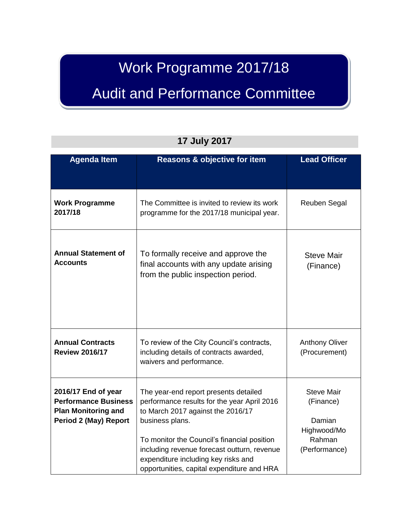# Work Programme 2017/18

# Audit and Performance Committee

| <b>Agenda Item</b>                                                                                               | Reasons & objective for item                                                                                                                                                                                                                                                                                                    | <b>Lead Officer</b>                                                                |
|------------------------------------------------------------------------------------------------------------------|---------------------------------------------------------------------------------------------------------------------------------------------------------------------------------------------------------------------------------------------------------------------------------------------------------------------------------|------------------------------------------------------------------------------------|
| <b>Work Programme</b><br>2017/18                                                                                 | The Committee is invited to review its work<br>programme for the 2017/18 municipal year.                                                                                                                                                                                                                                        | Reuben Segal                                                                       |
| <b>Annual Statement of</b><br><b>Accounts</b>                                                                    | To formally receive and approve the<br>final accounts with any update arising<br>from the public inspection period.                                                                                                                                                                                                             | <b>Steve Mair</b><br>(Finance)                                                     |
| <b>Annual Contracts</b><br><b>Review 2016/17</b>                                                                 | To review of the City Council's contracts,<br>including details of contracts awarded,<br>waivers and performance.                                                                                                                                                                                                               | <b>Anthony Oliver</b><br>(Procurement)                                             |
| 2016/17 End of year<br><b>Performance Business</b><br><b>Plan Monitoring and</b><br><b>Period 2 (May) Report</b> | The year-end report presents detailed<br>performance results for the year April 2016<br>to March 2017 against the 2016/17<br>business plans.<br>To monitor the Council's financial position<br>including revenue forecast outturn, revenue<br>expenditure including key risks and<br>opportunities, capital expenditure and HRA | <b>Steve Mair</b><br>(Finance)<br>Damian<br>Highwood/Mo<br>Rahman<br>(Performance) |

#### **17 July 2017**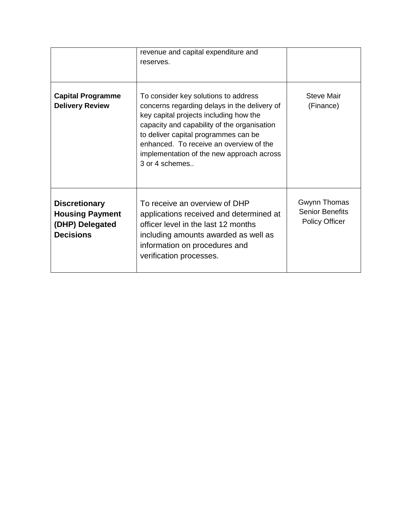|                                                                                       | revenue and capital expenditure and<br>reserves.                                                                                                                                                                                                                                                                                |                                                                 |
|---------------------------------------------------------------------------------------|---------------------------------------------------------------------------------------------------------------------------------------------------------------------------------------------------------------------------------------------------------------------------------------------------------------------------------|-----------------------------------------------------------------|
| <b>Capital Programme</b><br><b>Delivery Review</b>                                    | To consider key solutions to address<br>concerns regarding delays in the delivery of<br>key capital projects including how the<br>capacity and capability of the organisation<br>to deliver capital programmes can be<br>enhanced. To receive an overview of the<br>implementation of the new approach across<br>3 or 4 schemes | <b>Steve Mair</b><br>(Finance)                                  |
| <b>Discretionary</b><br><b>Housing Payment</b><br>(DHP) Delegated<br><b>Decisions</b> | To receive an overview of DHP<br>applications received and determined at<br>officer level in the last 12 months<br>including amounts awarded as well as<br>information on procedures and<br>verification processes.                                                                                                             | Gwynn Thomas<br><b>Senior Benefits</b><br><b>Policy Officer</b> |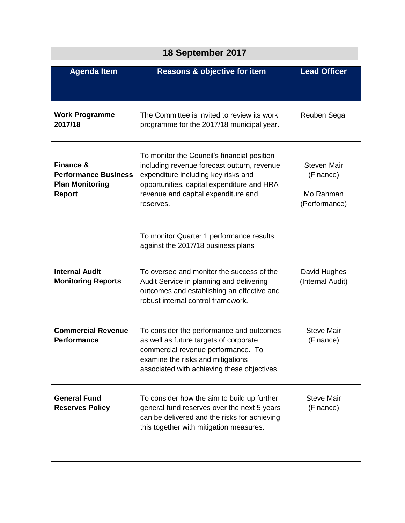| 18 September 2017                                                                              |                                                                                                                                                                                                                                     |                                                               |  |
|------------------------------------------------------------------------------------------------|-------------------------------------------------------------------------------------------------------------------------------------------------------------------------------------------------------------------------------------|---------------------------------------------------------------|--|
| <b>Agenda Item</b>                                                                             | <b>Reasons &amp; objective for item</b>                                                                                                                                                                                             | <b>Lead Officer</b>                                           |  |
| <b>Work Programme</b><br>2017/18                                                               | The Committee is invited to review its work<br>programme for the 2017/18 municipal year.                                                                                                                                            | Reuben Segal                                                  |  |
| <b>Finance &amp;</b><br><b>Performance Business</b><br><b>Plan Monitoring</b><br><b>Report</b> | To monitor the Council's financial position<br>including revenue forecast outturn, revenue<br>expenditure including key risks and<br>opportunities, capital expenditure and HRA<br>revenue and capital expenditure and<br>reserves. | <b>Steven Mair</b><br>(Finance)<br>Mo Rahman<br>(Performance) |  |
|                                                                                                | To monitor Quarter 1 performance results<br>against the 2017/18 business plans                                                                                                                                                      |                                                               |  |
| <b>Internal Audit</b><br><b>Monitoring Reports</b>                                             | To oversee and monitor the success of the<br>Audit Service in planning and delivering<br>outcomes and establishing an effective and<br>robust internal control framework.                                                           | David Hughes<br>(Internal Audit)                              |  |
| <b>Commercial Revenue</b><br><b>Performance</b>                                                | To consider the performance and outcomes<br>as well as future targets of corporate<br>commercial revenue performance. To<br>examine the risks and mitigations<br>associated with achieving these objectives.                        | <b>Steve Mair</b><br>(Finance)                                |  |
| <b>General Fund</b><br><b>Reserves Policy</b>                                                  | To consider how the aim to build up further<br>general fund reserves over the next 5 years<br>can be delivered and the risks for achieving<br>this together with mitigation measures.                                               | <b>Steve Mair</b><br>(Finance)                                |  |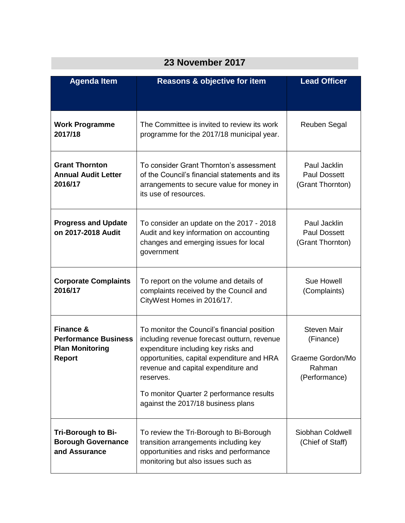| ZJ NOVEIIIDEI ZUTT                                                                             |                                                                                                                                                                                                                                                                                                                       |                                                                                |
|------------------------------------------------------------------------------------------------|-----------------------------------------------------------------------------------------------------------------------------------------------------------------------------------------------------------------------------------------------------------------------------------------------------------------------|--------------------------------------------------------------------------------|
| <b>Agenda Item</b>                                                                             | Reasons & objective for item                                                                                                                                                                                                                                                                                          | <b>Lead Officer</b>                                                            |
| <b>Work Programme</b><br>2017/18                                                               | The Committee is invited to review its work<br>programme for the 2017/18 municipal year.                                                                                                                                                                                                                              | Reuben Segal                                                                   |
| <b>Grant Thornton</b><br><b>Annual Audit Letter</b><br>2016/17                                 | To consider Grant Thornton's assessment<br>of the Council's financial statements and its<br>arrangements to secure value for money in<br>its use of resources.                                                                                                                                                        | Paul Jacklin<br><b>Paul Dossett</b><br>(Grant Thornton)                        |
| <b>Progress and Update</b><br>on 2017-2018 Audit                                               | To consider an update on the 2017 - 2018<br>Audit and key information on accounting<br>changes and emerging issues for local<br>government                                                                                                                                                                            | Paul Jacklin<br><b>Paul Dossett</b><br>(Grant Thornton)                        |
| <b>Corporate Complaints</b><br>2016/17                                                         | To report on the volume and details of<br>complaints received by the Council and<br>CityWest Homes in 2016/17.                                                                                                                                                                                                        | Sue Howell<br>(Complaints)                                                     |
| <b>Finance &amp;</b><br><b>Performance Business</b><br><b>Plan Monitoring</b><br><b>Report</b> | To monitor the Council's financial position<br>including revenue forecast outturn, revenue<br>expenditure including key risks and<br>opportunities, capital expenditure and HRA<br>revenue and capital expenditure and<br>reserves.<br>To monitor Quarter 2 performance results<br>against the 2017/18 business plans | <b>Steven Mair</b><br>(Finance)<br>Graeme Gordon/Mo<br>Rahman<br>(Performance) |
| <b>Tri-Borough to Bi-</b><br><b>Borough Governance</b><br>and Assurance                        | To review the Tri-Borough to Bi-Borough<br>transition arrangements including key<br>opportunities and risks and performance<br>monitoring but also issues such as                                                                                                                                                     | Siobhan Coldwell<br>(Chief of Staff)                                           |

### **23 November 2017**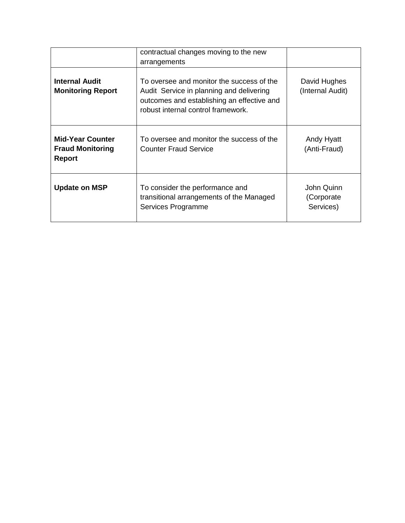|                                                              | contractual changes moving to the new<br>arrangements                                                                                                                     |                                        |
|--------------------------------------------------------------|---------------------------------------------------------------------------------------------------------------------------------------------------------------------------|----------------------------------------|
| <b>Internal Audit</b><br><b>Monitoring Report</b>            | To oversee and monitor the success of the<br>Audit Service in planning and delivering<br>outcomes and establishing an effective and<br>robust internal control framework. | David Hughes<br>(Internal Audit)       |
| <b>Mid-Year Counter</b><br><b>Fraud Monitoring</b><br>Report | To oversee and monitor the success of the<br><b>Counter Fraud Service</b>                                                                                                 | Andy Hyatt<br>(Anti-Fraud)             |
| <b>Update on MSP</b>                                         | To consider the performance and<br>transitional arrangements of the Managed<br>Services Programme                                                                         | John Quinn<br>(Corporate)<br>Services) |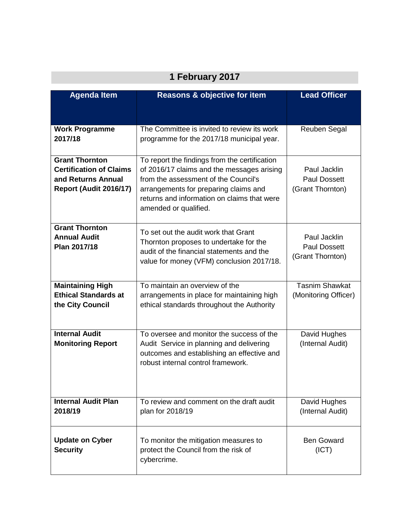| 1 February 2017                                                                                                |                                                                                                                                                                                                                                                      |                                                         |
|----------------------------------------------------------------------------------------------------------------|------------------------------------------------------------------------------------------------------------------------------------------------------------------------------------------------------------------------------------------------------|---------------------------------------------------------|
| <b>Agenda Item</b>                                                                                             | <b>Reasons &amp; objective for item</b>                                                                                                                                                                                                              | <b>Lead Officer</b>                                     |
| <b>Work Programme</b><br>2017/18                                                                               | The Committee is invited to review its work<br>programme for the 2017/18 municipal year.                                                                                                                                                             | Reuben Segal                                            |
| <b>Grant Thornton</b><br><b>Certification of Claims</b><br>and Returns Annual<br><b>Report (Audit 2016/17)</b> | To report the findings from the certification<br>of 2016/17 claims and the messages arising<br>from the assessment of the Council's<br>arrangements for preparing claims and<br>returns and information on claims that were<br>amended or qualified. | Paul Jacklin<br><b>Paul Dossett</b><br>(Grant Thornton) |
| <b>Grant Thornton</b><br><b>Annual Audit</b><br>Plan 2017/18                                                   | To set out the audit work that Grant<br>Thornton proposes to undertake for the<br>audit of the financial statements and the<br>value for money (VFM) conclusion 2017/18.                                                                             | Paul Jacklin<br><b>Paul Dossett</b><br>(Grant Thornton) |
| <b>Maintaining High</b><br><b>Ethical Standards at</b><br>the City Council                                     | To maintain an overview of the<br>arrangements in place for maintaining high<br>ethical standards throughout the Authority                                                                                                                           | <b>Tasnim Shawkat</b><br>(Monitoring Officer)           |
| <b>Internal Audit</b><br><b>Monitoring Report</b>                                                              | To oversee and monitor the success of the<br>Audit Service in planning and delivering<br>outcomes and establishing an effective and<br>robust internal control framework.                                                                            | David Hughes<br>(Internal Audit)                        |
| <b>Internal Audit Plan</b><br>2018/19                                                                          | To review and comment on the draft audit<br>plan for 2018/19                                                                                                                                                                                         | David Hughes<br>(Internal Audit)                        |
| <b>Update on Cyber</b><br><b>Security</b>                                                                      | To monitor the mitigation measures to<br>protect the Council from the risk of<br>cybercrime.                                                                                                                                                         | <b>Ben Goward</b><br>(ICT)                              |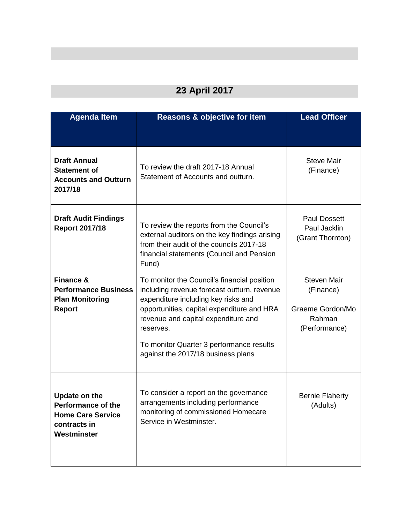### **23 April 2017**

| <b>Agenda Item</b>                                                                                           | <b>Reasons &amp; objective for item</b>                                                                                                                                                                                                                                                                               | <b>Lead Officer</b>                                                            |
|--------------------------------------------------------------------------------------------------------------|-----------------------------------------------------------------------------------------------------------------------------------------------------------------------------------------------------------------------------------------------------------------------------------------------------------------------|--------------------------------------------------------------------------------|
|                                                                                                              |                                                                                                                                                                                                                                                                                                                       |                                                                                |
| <b>Draft Annual</b><br><b>Statement of</b><br><b>Accounts and Outturn</b><br>2017/18                         | To review the draft 2017-18 Annual<br>Statement of Accounts and outturn.                                                                                                                                                                                                                                              | <b>Steve Mair</b><br>(Finance)                                                 |
| <b>Draft Audit Findings</b><br><b>Report 2017/18</b>                                                         | To review the reports from the Council's<br>external auditors on the key findings arising<br>from their audit of the councils 2017-18<br>financial statements (Council and Pension<br>Fund)                                                                                                                           | <b>Paul Dossett</b><br>Paul Jacklin<br>(Grant Thornton)                        |
| <b>Finance &amp;</b><br><b>Performance Business</b><br><b>Plan Monitoring</b><br><b>Report</b>               | To monitor the Council's financial position<br>including revenue forecast outturn, revenue<br>expenditure including key risks and<br>opportunities, capital expenditure and HRA<br>revenue and capital expenditure and<br>reserves.<br>To monitor Quarter 3 performance results<br>against the 2017/18 business plans | <b>Steven Mair</b><br>(Finance)<br>Graeme Gordon/Mo<br>Rahman<br>(Performance) |
| <b>Update on the</b><br><b>Performance of the</b><br><b>Home Care Service</b><br>contracts in<br>Westminster | To consider a report on the governance<br>arrangements including performance<br>monitoring of commissioned Homecare<br>Service in Westminster.                                                                                                                                                                        | <b>Bernie Flaherty</b><br>(Adults)                                             |